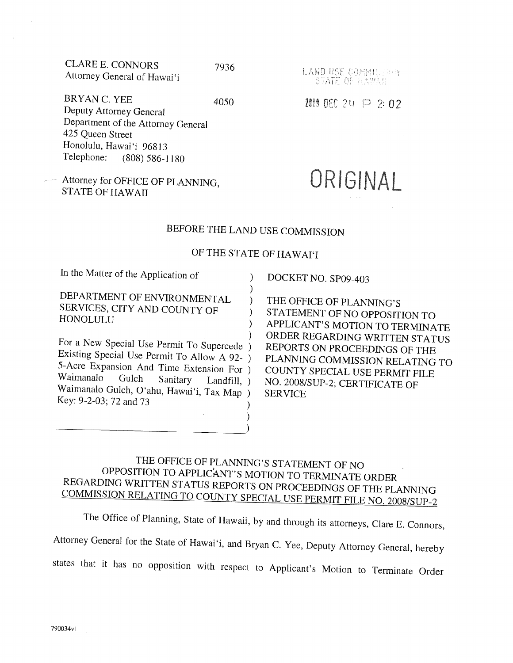| CLARE E. CONNORS            | 7936 |
|-----------------------------|------|
| Attorney General of Hawai'i |      |

 $BRYAN C. YEE$  4050 Deputy Attorney General Department of the Attorney General 425 Queen Street Honolulu, Hawai'i 96813 Telephone: (808) 586-1180

Attorney for OFFICE OF PLANNING STATE OF HAWAII

LAND USE COMMILE HAY STATE OF HAWAII

#### **2010 2020 2020 2020 2020 2020 2020**

# ORIGINAL

## BEFORE THE LAND USE COMMISSION

### OF THE STATE OF HAWAI'I

 $\lambda$  $\lambda$ 

In the Matter of the Application of )

DEPARTMENT OF ENVIRONMENTAL  $)$ SERVICES, CITY AND COUNTY OF  $\overrightarrow{)}$ HONOLULU

For a New Special Use Permit To Supercede ) Existing Special Use Permit To Allow A 92- ) 5-Acre Expansion And Time Extension For )<br>Waimanalo Gulch Sanitary Landfill Waimanalo Gulch Sanitary Landfill, Waimanalo Gulch, Oʻahu, Hawaiʻi, Tax Map )<br>Key: 9-2-03; 72 and 73

DOCKET NO. SP09-403

THE OFFICE OF PLANNING'S STATEMENT OF NO OPPOSITION TO APPLICANT'S MOTION TO TERMINATE ORDER REGARDING WRITTEN STATUS REPORTS ON PROCEEDINGS OF THE PLANNING COMMISSION RELATING TO COUNTY SPECIAL USE PERMIT FILE NO. 2008/S UP-2; CERTIFICATE OF SERVICE

## THE OFFICE OF PLANNING'S STATEMENT OF NO OPPOSITION TO APPLICANT'S MOTION TO TERMINATE ORDER REGARDING WRITTEN STATUS REPORTS ON PROCEEDINGS OF THE PLANNING COMMISSION RELATING TO COUNTY SPECIAL USE PERMIT FILE NO. 2008/SUP-2

) )

The Office of Planning, State of Hawaii, by and through its attorneys, Clare E. Connors,

Attorney General for the State of Hawai'i, and Bryan C. Yee, Deputy Attorney General, hereby

states that it has no opposition with respect to Applicant's Motion to Terminate Order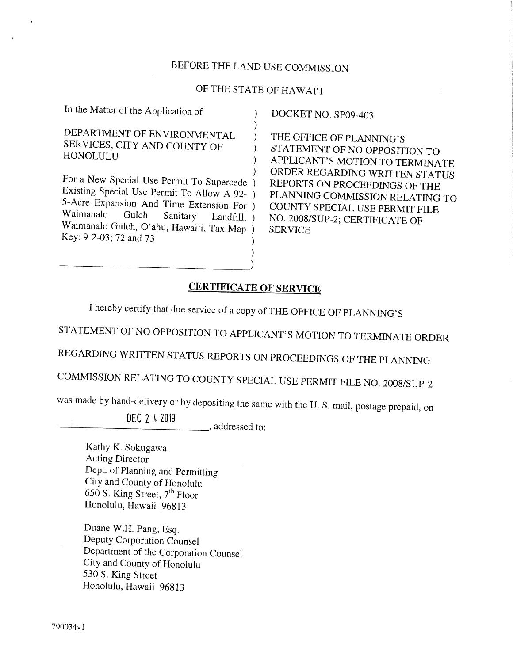## BEFORE THE LAND USE COMMISSION

## OF THE STATE OF HAWAI'I

| In the Matter of the Application of                                                                                                                                                                                                                              | DOCKET NO. SP09-403                                                                                                                    |
|------------------------------------------------------------------------------------------------------------------------------------------------------------------------------------------------------------------------------------------------------------------|----------------------------------------------------------------------------------------------------------------------------------------|
| DEPARTMENT OF ENVIRONMENTAL<br>SERVICES, CITY AND COUNTY OF<br><b>HONOLULU</b>                                                                                                                                                                                   | THE OFFICE OF PLANN<br>STATEMENT OF NO OI<br><b>APPLICANT'S MOTION</b>                                                                 |
| For a New Special Use Permit To Supercede )<br>Existing Special Use Permit To Allow A 92- )<br>5-Acre Expansion And Time Extension For )<br>Waimanalo<br>Gulch Sanitary<br>Landfill, $)$<br>Waimanalo Gulch, O'ahu, Hawai'i, Tax Map )<br>Key: 9-2-03; 72 and 73 | ORDER REGARDING W<br><b>REPORTS ON PROCEEI</b><br>PLANNING COMMISSIO<br>COUNTY SPECIAL USE<br>NO. 2008/SUP-2; CERTIH<br><b>SERVICE</b> |

OFFICE OF PLANNING'S EMENT OF NO OPPOSITION TO **JCANT'S MOTION TO TERMINATE** ER REGARDING WRITTEN STATUS RTS ON PROCEEDINGS OF THE NING COMMISSION RELATING TO NTY SPECIAL USE PERMIT FILE 008/SUP-2; CERTIFICATE OF **ICE** 

#### CERTIFICATE OF SERVICE

I hereby certify that due service of a copy of THE OFFICE OF PLANNING'S

STATEMENT OF NO OPPOSITION TO APPLICANT'S MOTION TO TERMINATE ORDER

REGARDING WRITTEN STATUS REPORTS ON PROCEEDINGS OF THE PLANNING

COMMISSION RELATING TO COUNTY SPECIAL USE PERMIT FILE NO. 2008/SUP-2

was made by hand-delivery or by depositing the same with the U. S. mail, postage prepaid, on

DEC 2 k 2019

. L\_ ., addressed to:

Kathy K. Sokugawa Acting Director Dept, of Planning and Permitting City and County of Honolulu 650 S. King Street, 7th Floor Honolulu, Hawaii 96813

Duane W.H. Pang, Esq. Deputy Corporation Counsel Department of the Corporation Counsel City and County of Honolulu 530 S. King Street Honolulu, Hawaii 96813